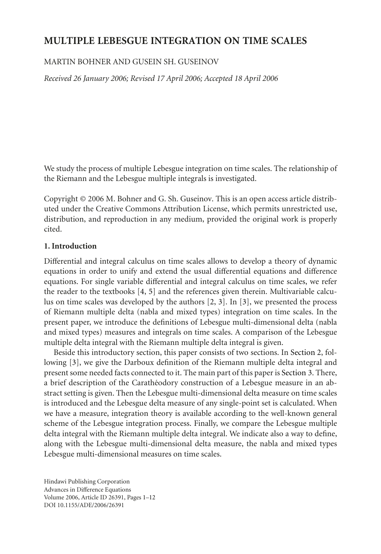# **MULTIPLE LEBESGUE INTEGRATION ON TIME SCALES**

# MARTIN BOHNER AND GUSEIN SH. GUSEINOV

*Received 26 January 2006; Revised 17 April 2006; Accepted 18 April 2006*

We study the process of multiple Lebesgue integration on time scales. The relationship of the Riemann and the Lebesgue multiple integrals is investigated.

Copyright © 2006 M. Bohner and G. Sh. Guseinov. This is an open access article distributed under the Creative Commons Attribution License, which permits unrestricted use, distribution, and reproduction in any medium, provided the original work is properly cited.

# **1. Introduction**

Differential and integral calculus on time scales allows to develop a theory of dynamic equations in order to unify and extend the usual differential equations and difference equations. For single variable differential and integral calculus on time scales, we refer the reader to the textbooks [\[4](#page-11-0), [5\]](#page-11-1) and the references given therein. Multivariable calculus on time scales was developed by the authors [\[2,](#page-11-2) [3](#page-11-3)]. In [\[3\]](#page-11-3), we presented the process of Riemann multiple delta (nabla and mixed types) integration on time scales. In the present paper, we introduce the definitions of Lebesgue multi-dimensional delta (nabla and mixed types) measures and integrals on time scales. A comparison of the Lebesgue multiple delta integral with the Riemann multiple delta integral is given.

Beside this introductory section, this paper consists of two sections. In [Section 2,](#page-1-0) following [\[3\]](#page-11-3), we give the Darboux definition of the Riemann multiple delta integral and present some needed facts connected to it. The main part of this paper is [Section 3.](#page-6-0) There, a brief description of the Carathéodory construction of a Lebesgue measure in an abstract setting is given. Then the Lebesgue multi-dimensional delta measure on time scales is introduced and the Lebesgue delta measure of any single-point set is calculated. When we have a measure, integration theory is available according to the well-known general scheme of the Lebesgue integration process. Finally, we compare the Lebesgue multiple delta integral with the Riemann multiple delta integral. We indicate also a way to define, along with the Lebesgue multi-dimensional delta measure, the nabla and mixed types Lebesgue multi-dimensional measures on time scales.

Hindawi Publishing Corporation Advances in Difference Equations Volume 2006, Article ID 26391, Pages 1[–12](#page-11-4) DOI 10.1155/ADE/2006/26391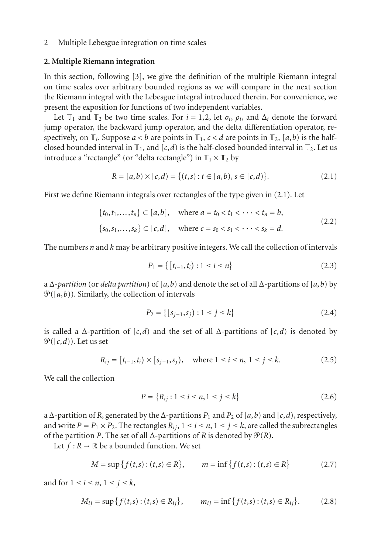## <span id="page-1-0"></span>**2. Multiple Riemann integration**

In this section, following [\[3\]](#page-11-3), we give the definition of the multiple Riemann integral on time scales over arbitrary bounded regions as we will compare in the next section the Riemann integral with the Lebesgue integral introduced therein. For convenience, we present the exposition for functions of two independent variables.

Let  $\mathbb{T}_1$  and  $\mathbb{T}_2$  be two time scales. For  $i = 1, 2$ , let  $\sigma_i$ ,  $\rho_i$ , and  $\Delta_i$  denote the forward jump operator, the backward jump operator, and the delta differentiation operator, respectively, on  $\mathbb{T}_i$ . Suppose  $a < b$  are points in  $\mathbb{T}_1$ ,  $c < d$  are points in  $\mathbb{T}_2$ ,  $[a, b)$  is the halfclosed bounded interval in  $\mathbb{T}_1$ , and  $[c,d)$  is the half-closed bounded interval in  $\mathbb{T}_2$ . Let us introduce a "rectangle" (or "delta rectangle") in  $T_1 \times T_2$  by

<span id="page-1-1"></span>
$$
R = [a,b) \times [c,d] = \{(t,s) : t \in [a,b), s \in [c,d] \}.
$$
 (2.1)

First we define Riemann integrals over rectangles of the type given in [\(2.1\)](#page-1-1). Let

$$
\{t_0, t_1, \dots, t_n\} \subset [a, b], \quad \text{where } a = t_0 < t_1 < \dots < t_n = b,
$$
\n
$$
\{s_0, s_1, \dots, s_k\} \subset [c, d], \quad \text{where } c = s_0 < s_1 < \dots < s_k = d.
$$
\n
$$
(2.2)
$$

The numbers *n* and *k* may be arbitrary positive integers. We call the collection of intervals

$$
P_1 = \{ [t_{i-1}, t_i) : 1 \le i \le n \}
$$
\n(2.3)

a Δ-*partition* (or *delta partition*) of [*a*,*b*) and denote the set of all Δ-partitions of [*a*,*b*) by  $\mathcal{P}([a,b))$ . Similarly, the collection of intervals

<span id="page-1-2"></span>
$$
P_2 = \{ [s_{j-1}, s_j) : 1 \le j \le k \}
$$
\n(2.4)

is called a  $\Delta$ -partition of [*c*,*d*) and the set of all  $\Delta$ -partitions of [*c*,*d*) is denoted by  $\mathcal{P}([c,d))$ . Let us set

$$
R_{ij} = [t_{i-1}, t_i) \times [s_{j-1}, s_j), \quad \text{where } 1 \le i \le n, \ 1 \le j \le k. \tag{2.5}
$$

We call the collection

<span id="page-1-3"></span>
$$
P = \{R_{ij} : 1 \le i \le n, 1 \le j \le k\}
$$
\n(2.6)

a  $\Delta$ -partition of *R*, generated by the  $\Delta$ -partitions  $P_1$  and  $P_2$  of [a, b) and [c,d), respectively, and write  $P = P_1 \times P_2$ . The rectangles  $R_{ij}$ ,  $1 \le i \le n$ ,  $1 \le j \le k$ , are called the subrectangles of the partition *P*. The set of all  $\Delta$ -partitions of *R* is denoted by  $\mathcal{P}(R)$ .

Let  $f : R \to \mathbb{R}$  be a bounded function. We set

$$
M = \sup \{ f(t,s) : (t,s) \in R \}, \qquad m = \inf \{ f(t,s) : (t,s) \in R \}
$$
 (2.7)

and for  $1 \le i \le n$ ,  $1 \le j \le k$ ,

$$
M_{ij} = \sup \{ f(t,s) : (t,s) \in R_{ij} \}, \qquad m_{ij} = \inf \{ f(t,s) : (t,s) \in R_{ij} \}.
$$
 (2.8)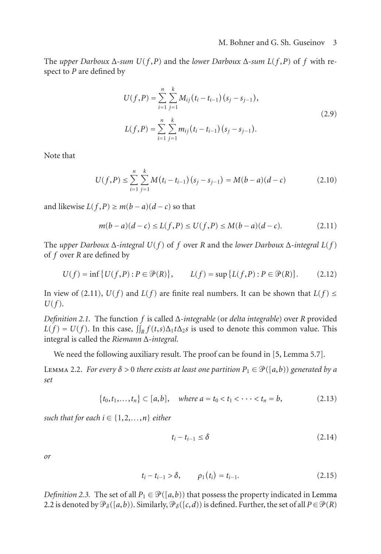The *upper Darboux* Δ*-sum U*(*f* ,*P*) and the *lower Darboux* Δ*-sum L*(*f* ,*P*) of *f* with respect to *P* are defined by

$$
U(f, P) = \sum_{i=1}^{n} \sum_{j=1}^{k} M_{ij} (t_i - t_{i-1}) (s_j - s_{j-1}),
$$
  
\n
$$
L(f, P) = \sum_{i=1}^{n} \sum_{j=1}^{k} m_{ij} (t_i - t_{i-1}) (s_j - s_{j-1}).
$$
\n(2.9)

Note that

$$
U(f, P) \le \sum_{i=1}^{n} \sum_{j=1}^{k} M(t_i - t_{i-1})(s_j - s_{j-1}) = M(b-a)(d-c)
$$
 (2.10)

and likewise  $L(f, P) \geq m(b − a)(d − c)$  so that

<span id="page-2-0"></span>
$$
m(b-a)(d-c) \le L(f, P) \le U(f, P) \le M(b-a)(d-c). \tag{2.11}
$$

The *upper Darboux* Δ*-integral U*(*f* ) of *f* over *R* and the *lower Darboux* Δ*-integral L*(*f* ) of *f* over *R* are defined by

$$
U(f) = \inf \{ U(f, P) : P \in \mathcal{P}(R) \}, \qquad L(f) = \sup \{ L(f, P) : P \in \mathcal{P}(R) \}. \tag{2.12}
$$

<span id="page-2-2"></span>In view of [\(2.11\)](#page-2-0),  $U(f)$  and  $L(f)$  are finite real numbers. It can be shown that  $L(f) \leq$ *U*(*f* ).

*Definition 2.1.* The function *f* is called Δ-*integrable* (or *delta integrable*) over *R* provided  $L(f) = U(f)$ . In this case,  $\iint_R f(t,s) \Delta_1 t \Delta_2 s$  is used to denote this common value. This integral is called the *Riemann* Δ*-integral*.

We need the following auxiliary result. The proof can be found in [\[5](#page-11-1), Lemma 5.7].

<span id="page-2-1"></span>LEMMA 2.2. *For every*  $\delta > 0$  *there exists at least one partition*  $P_1 \in \mathcal{P}([a,b))$  generated by a *set*

$$
\{t_0, t_1, \ldots, t_n\} \subset [a, b], \quad \text{where } a = t_0 < t_1 < \cdots < t_n = b,\tag{2.13}
$$

*such that for each*  $i \in \{1, 2, \ldots, n\}$  *either* 

$$
t_i - t_{i-1} \le \delta \tag{2.14}
$$

*or*

$$
t_i - t_{i-1} > \delta, \qquad \rho_1(t_i) = t_{i-1}.
$$
 (2.15)

*Definition 2.3.* The set of all  $P_1 \in \mathcal{P}([a, b))$  that possess the property indicated in [Lemma](#page-2-1) [2.2](#page-2-1) is denoted by  $\mathcal{P}_{\delta}([a, b))$ . Similarly,  $\mathcal{P}_{\delta}([c, d))$  is defined. Further, the set of all  $P \in \mathcal{P}(R)$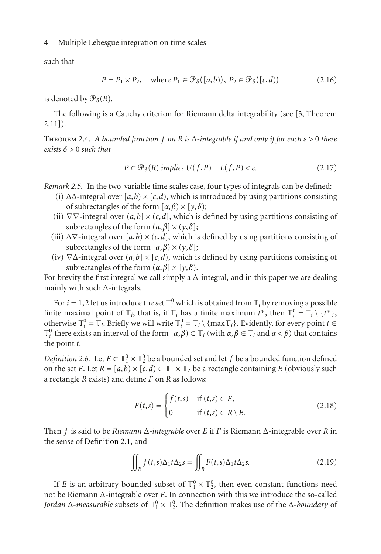such that

$$
P = P_1 \times P_2, \quad \text{where } P_1 \in \mathcal{P}_\delta([a, b)), \ P_2 \in \mathcal{P}_\delta([c, d)) \tag{2.16}
$$

is denoted by  $\mathcal{P}_{\delta}(R)$ .

<span id="page-3-0"></span>The following is a Cauchy criterion for Riemann delta integrability (see [\[3](#page-11-3), Theorem 2.11]).

Theorem 2.4. *A bounded function f on R is* Δ*-integrable if and only if for each ε >* 0 *there exists δ >* 0 *such that*

$$
P \in \mathcal{P}_{\delta}(R) \text{ implies } U(f, P) - L(f, P) < \varepsilon. \tag{2.17}
$$

<span id="page-3-2"></span>*Remark 2.5.* In the two-variable time scales case, four types of integrals can be defined:

- (i)  $\Delta\Delta$ -integral over  $[a,b) \times [c,d)$ , which is introduced by using partitions consisting of subrectangles of the form  $[\alpha, \beta] \times [\gamma, \delta);$
- (ii)  $\nabla \nabla$ -integral over  $(a,b] \times (c,d]$ , which is defined by using partitions consisting of subrectangles of the form  $(\alpha, \beta] \times (\gamma, \delta)$ ;
- (iii)  $\Delta \nabla$ -integral over [a, b) × (c, d], which is defined by using partitions consisting of subrectangles of the form  $[\alpha, \beta) \times (\gamma, \delta]$ ;
- (iv)  $\nabla\Delta$ -integral over  $(a,b] \times [c,d)$ , which is defined by using partitions consisting of subrectangles of the form  $(\alpha, \beta] \times [\gamma, \delta)$ .

For brevity the first integral we call simply a  $\Delta$ -integral, and in this paper we are dealing mainly with such Δ-integrals.

For  $i = 1, 2$  let us introduce the set  $\mathbb{T}_i^0$  which is obtained from  $\mathbb{T}_i$  by removing a possible finite maximal point of  $\mathbb{T}_i$ , that is, if  $\mathbb{T}_i$  has a finite maximum  $t^*$ , then  $\mathbb{T}_i^0 = \mathbb{T}_i \setminus \{t^*\},$ otherwise  $\mathbb{T}_i^0 = \mathbb{T}_i$ . Briefly we will write  $\mathbb{T}_i^0 = \mathbb{T}_i \setminus \{\max \mathbb{T}_i\}$ . Evidently, for every point  $t \in$  $\mathbb{T}_i^0$  there exists an interval of the form  $[α, β) ⊂ \mathbb{T}_i$  (with  $α, β ∈ \mathbb{T}_i$  and  $α < β$ ) that contains the point *t*.

<span id="page-3-1"></span>*Definition 2.6.* Let  $E \subset \mathbb{T}_1^0 \times \mathbb{T}_2^0$  be a bounded set and let  $f$  be a bounded function defined on the set *E*. Let  $R = [a,b) \times [c,d) \subset \mathbb{T}_1 \times \mathbb{T}_2$  be a rectangle containing *E* (obviously such a rectangle *R* exists) and define *F* on *R* as follows:

$$
F(t,s) = \begin{cases} f(t,s) & \text{if } (t,s) \in E, \\ 0 & \text{if } (t,s) \in R \setminus E. \end{cases}
$$
 (2.18)

Then *f* is said to be *Riemann* Δ*-integrable* over *E* if *F* is Riemann Δ-integrable over *R* in the sense of [Definition 2.1,](#page-2-2) and

$$
\iint_E f(t,s)\Delta_1 t \Delta_2 s = \iint_R F(t,s)\Delta_1 t \Delta_2 s. \tag{2.19}
$$

If *E* is an arbitrary bounded subset of  $\mathbb{T}_1^0 \times \mathbb{T}_2^0$ , then even constant functions need not be Riemann Δ-integrable over *E*. In connection with this we introduce the so-called *Jordan*  $\Delta$ *-measurable* subsets of  $\mathbb{T}_1^0 \times \mathbb{T}_2^0$ . The definition makes use of the  $\Delta$ *-boundary* of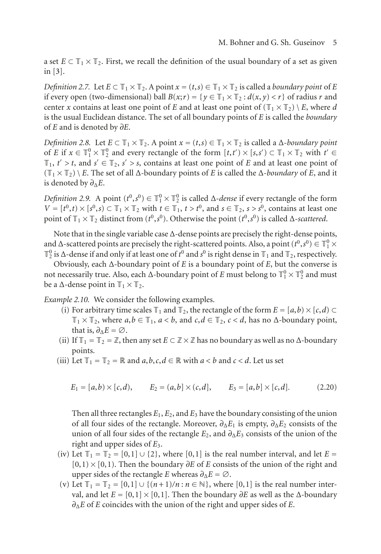a set  $E \subset \mathbb{T}_1 \times \mathbb{T}_2$ . First, we recall the definition of the usual boundary of a set as given in [\[3](#page-11-3)].

*Definition 2.7.* Let  $E \subset \mathbb{T}_1 \times \mathbb{T}_2$ . A point  $x = (t, s) \in \mathbb{T}_1 \times \mathbb{T}_2$  is called a *boundary point* of *E* if every open (two-dimensional) ball  $B(x; r) = \{y \in \mathbb{T}_1 \times \mathbb{T}_2 : d(x, y) < r\}$  of radius *r* and center *x* contains at least one point of *E* and at least one point of  $(\mathbb{T}_1 \times \mathbb{T}_2) \setminus E$ , where *d* is the usual Euclidean distance. The set of all boundary points of *E* is called the *boundary* of *E* and is denoted by *∂E*.

*Definition 2.8.* Let  $E \subset \mathbb{T}_1 \times \mathbb{T}_2$ . A point  $x = (t, s) \in \mathbb{T}_1 \times \mathbb{T}_2$  is called a  $\Delta$ -*boundary point* of *E* if  $x \in \mathbb{T}_1^0 \times \mathbb{T}_2^0$  and every rectangle of the form  $[t, t') \times [s, s') \subset \mathbb{T}_1 \times \mathbb{T}_2$  with  $t' \in$  $\mathbb{T}_1$ ,  $t' > t$ , and  $s' \in \mathbb{T}_2$ ,  $s' > s$ , contains at least one point of *E* and at least one point of  $(T_1 \times T_2) \setminus E$ . The set of all  $\Delta$ -boundary points of *E* is called the  $\Delta$ -*boundary* of *E*, and it is denoted by  $\partial_{\Lambda}E$ .

*Definition 2.9.* A point  $(t^0, s^0) \in \mathbb{T}_1^0 \times \mathbb{T}_2^0$  is called  $\Delta$ -*dense* if every rectangle of the form  $V = [t^0, t] \times [s^0, s] \subset \mathbb{T}_1 \times \mathbb{T}_2$  with  $t \in \mathbb{T}_1$ ,  $t > t^0$ , and  $s \in \mathbb{T}_2$ ,  $s > s^0$ , contains at least one point of  $\mathbb{T}_1 \times \mathbb{T}_2$  distinct from  $(t^0, s^0)$ . Otherwise the point  $(t^0, s^0)$  is called  $\Delta$ -*scattered*.

Note that in the single variable case Δ-dense points are precisely the right-dense points, and  $\Delta$ -scattered points are precisely the right-scattered points. Also, a point  $(t^0, s^0) \in \mathbb{T}_1^0 \times$  $\mathbb{T}_2^0$  is Δ-dense if and only if at least one of *t*<sup>0</sup> and *s*<sup>0</sup> is right dense in  $\mathbb{T}_1$  and  $\mathbb{T}_2$ , respectively.

Obviously, each Δ-boundary point of *E* is a boundary point of *E*, but the converse is not necessarily true. Also, each  $\Delta$ -boundary point of *E* must belong to  $\mathbb{T}_1^0 \times \mathbb{T}_2^0$  and must be a  $\Delta$ -dense point in  $\mathbb{T}_1 \times \mathbb{T}_2$ .

*Example 2.10.* We consider the following examples.

- (i) For arbitrary time scales  $\mathbb{T}_1$  and  $\mathbb{T}_2$ , the rectangle of the form  $E = [a, b) \times [c, d) \subset$  $\mathbb{T}_1 \times \mathbb{T}_2$ , where  $a, b \in \mathbb{T}_1$ ,  $a < b$ , and  $c, d \in \mathbb{T}_2$ ,  $c < d$ , has no  $\Delta$ -boundary point, that is,  $\partial_{\Lambda}E = \emptyset$ .
- (ii) If  $\mathbb{T}_1 = \mathbb{T}_2 = \mathbb{Z}$ , then any set  $E \subset \mathbb{Z} \times \mathbb{Z}$  has no boundary as well as no  $\Delta$ -boundary points.
- (iii) Let  $\mathbb{T}_1 = \mathbb{T}_2 = \mathbb{R}$  and  $a, b, c, d \in \mathbb{R}$  with  $a < b$  and  $c < d$ . Let us set

$$
E_1 = [a, b) \times [c, d), \qquad E_2 = (a, b) \times (c, d], \qquad E_3 = [a, b] \times [c, d]. \tag{2.20}
$$

Then all three rectangles  $E_1, E_2$ , and  $E_3$  have the boundary consisting of the union of all four sides of the rectangle. Moreover,  $\partial_{\Delta}E_1$  is empty,  $\partial_{\Delta}E_2$  consists of the union of all four sides of the rectangle  $E_2$ , and  $\partial_{\Lambda} E_3$  consists of the union of the right and upper sides of *E*3.

- (iv) Let  $\mathbb{T}_1 = \mathbb{T}_2 = [0,1] \cup \{2\}$ , where [0,1] is the real number interval, and let  $E =$ [0,1) <sup>×</sup> [0,1). Then the boundary *∂E* of *<sup>E</sup>* consists of the union of the right and upper sides of the rectangle *E* whereas  $\partial_{\Delta}E = \emptyset$ .
- (v) Let  $\mathbb{T}_1 = \mathbb{T}_2 = [0,1] \cup \{(n+1)/n : n \in \mathbb{N}\}\,$ , where [0,1] is the real number interval, and let  $E = [0,1] \times [0,1]$ . Then the boundary  $\partial E$  as well as the  $\Delta$ -boundary *∂*Δ*E* of *E* coincides with the union of the right and upper sides of *E*.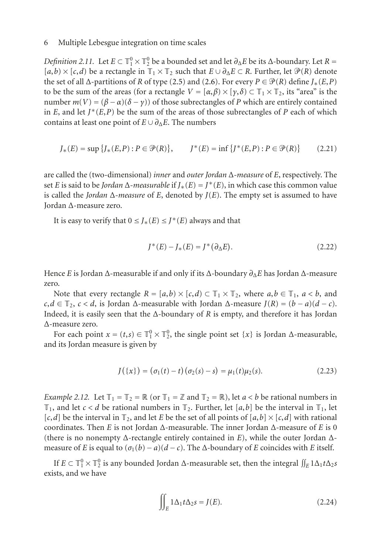*Definition 2.11.* Let  $E \subset \mathbb{T}_1^0 \times \mathbb{T}_2^0$  be a bounded set and let  $\partial_{\Delta}E$  be its  $\Delta$ -boundary. Let  $R =$  $[a,b) \times [c,d)$  be a rectangle in  $\mathbb{T}_1 \times \mathbb{T}_2$  such that  $E \cup \partial_{\Delta} E \subset R$ . Further, let  $\mathcal{P}(R)$  denote the set of all  $\Delta$ -partitions of *R* of type [\(2.5\)](#page-1-2) and [\(2.6\)](#page-1-3). For every  $P \in \mathcal{P}(R)$  define  $J_*(E, P)$ to be the sum of the areas (for a rectangle  $V = [\alpha, \beta) \times [\gamma, \delta] \subset \mathbb{T}_1 \times \mathbb{T}_2$ , its "area" is the number  $m(V) = (\beta - \alpha)(\delta - \gamma)$  of those subrectangles of *P* which are entirely contained in *E*, and let  $J^*(E, P)$  be the sum of the areas of those subrectangles of *P* each of which contains at least one point of  $E \cup \partial_{\Delta} E$ . The numbers

$$
J_*(E) = \sup \{ J_*(E, P) : P \in \mathcal{P}(R) \}, \qquad J^*(E) = \inf \{ J^*(E, P) : P \in \mathcal{P}(R) \} \tag{2.21}
$$

are called the (two-dimensional) *inner* and *outer Jordan* Δ*-measure* of *E*, respectively. The set *E* is said to be *Jordan*  $\Delta$ *-measurable* if  $J_*(E) = J^*(E)$ , in which case this common value is called the *Jordan* Δ*-measure* of *E*, denoted by *J*(*E*). The empty set is assumed to have Jordan Δ-measure zero.

It is easy to verify that  $0 \leq J_*(E) \leq J^*(E)$  always and that

$$
J^*(E) - J_*(E) = J^*(\partial_{\Delta} E). \tag{2.22}
$$

Hence *E* is Jordan Δ-measurable if and only if its Δ-boundary *∂*Δ*E* has Jordan Δ-measure zero.

Note that every rectangle  $R = [a, b) \times [c, d] \subset \mathbb{T}_1 \times \mathbb{T}_2$ , where  $a, b \in \mathbb{T}_1$ ,  $a < b$ , and  $c, d \in \mathbb{T}_2$ ,  $c < d$ , is Jordan  $\Delta$ -measurable with Jordan  $\Delta$ -measure  $J(R) = (b - a)(d - c)$ . Indeed, it is easily seen that the Δ-boundary of *R* is empty, and therefore it has Jordan Δ-measure zero.

For each point  $x = (t,s) \in \mathbb{T}_1^0 \times \mathbb{T}_2^0$ , the single point set  $\{x\}$  is Jordan  $\Delta$ -measurable, and its Jordan measure is given by

<span id="page-5-0"></span>
$$
J(\{x\}) = (\sigma_1(t) - t)(\sigma_2(s) - s) = \mu_1(t)\mu_2(s).
$$
 (2.23)

<span id="page-5-1"></span>*Example 2.12.* Let  $\mathbb{T}_1 = \mathbb{T}_2 = \mathbb{R}$  (or  $\mathbb{T}_1 = \mathbb{Z}$  and  $\mathbb{T}_2 = \mathbb{R}$ ), let  $a < b$  be rational numbers in  $\mathbb{T}_1$ , and let *c* < *d* be rational numbers in  $\mathbb{T}_2$ . Further, let [*a*,*b*] be the interval in  $\mathbb{T}_1$ , let  $[c,d]$  be the interval in  $\mathbb{T}_2$ , and let *E* be the set of all points of  $[a,b] \times [c,d]$  with rational coordinates. Then *E* is not Jordan Δ-measurable. The inner Jordan Δ-measure of *E* is 0 (there is no nonempty Δ-rectangle entirely contained in *E*), while the outer Jordan Δmeasure of *E* is equal to  $(\sigma_1(b) - a)(d - c)$ . The  $\Delta$ -boundary of *E* coincides with *E* itself.

If  $E \subset \mathbb{T}_1^0 \times \mathbb{T}_2^0$  is any bounded Jordan  $\Delta$ -measurable set, then the integral  $\iint_E 1 \Delta_1 t \Delta_2 s$ exists, and we have

$$
\iint_{E} 1\Delta_1 t \Delta_2 s = J(E). \tag{2.24}
$$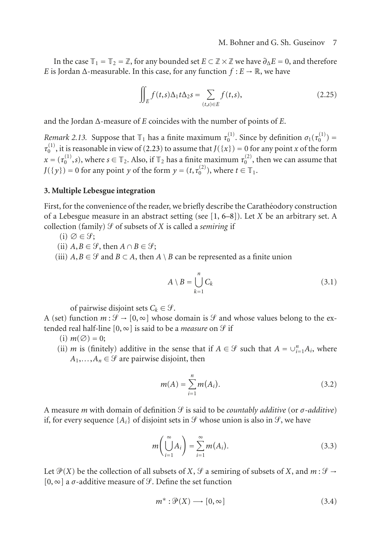In the case  $\mathbb{T}_1 = \mathbb{T}_2 = \mathbb{Z}$ , for any bounded set  $E \subset \mathbb{Z} \times \mathbb{Z}$  we have  $\partial_{\Lambda} E = 0$ , and therefore *E* is Jordan  $\Delta$ -measurable. In this case, for any function  $f : E \to \mathbb{R}$ , we have

$$
\iint_{E} f(t,s)\Delta_1 t \Delta_2 s = \sum_{(t,s)\in E} f(t,s),\tag{2.25}
$$

and the Jordan Δ-measure of *E* coincides with the number of points of *E*.

*Remark 2.13.* Suppose that  $\mathbb{T}_1$  has a finite maximum  $\tau_0^{(1)}$ . Since by definition  $\sigma_1(\tau_0^{(1)})$  =  $\tau_0^{(1)}$ , it is reasonable in view of [\(2.23\)](#page-5-0) to assume that  $J(\{x\}) = 0$  for any point *x* of the form  $x = (\tau_0^{(1)}, s)$ , where  $s \in \mathbb{T}_2$ . Also, if  $\mathbb{T}_2$  has a finite maximum  $\tau_0^{(2)}$ , then we can assume that  $J({y}) = 0$  for any point *y* of the form  $y = (t, \tau_0^{(2)})$ , where  $t \in \mathbb{T}_1$ .

### <span id="page-6-0"></span>**3. Multiple Lebesgue integration**

First, for the convenience of the reader, we briefly describe the Caratheodory construction of a Lebesgue measure in an abstract setting (see [\[1](#page-11-5), [6](#page-11-6)[–8](#page-11-7)]). Let *X* be an arbitrary set. A collection (family)  $\mathcal G$  of subsets of  $X$  is called a *semiring* if

- $(i) \oslash \in \mathcal{G};$
- (ii)  $A, B \in \mathcal{G}$ , then  $A \cap B \in \mathcal{G}$ ;
- (iii)  $A, B \in \mathcal{G}$  and  $B \subset A$ , then  $A \setminus B$  can be represented as a finite union

$$
A \setminus B = \bigcup_{k=1}^{n} C_k
$$
 (3.1)

of pairwise disjoint sets  $C_k \in \mathcal{G}$ .

A (set) function  $m : \mathcal{G} \to [0, \infty]$  whose domain is  $\mathcal{G}$  and whose values belong to the extended real half-line  $[0, \infty]$  is said to be a *measure* on  $\mathcal G$  if

- $(i)$   $m(\emptyset) = 0;$
- (ii) *m* is (finitely) additive in the sense that if  $A \in \mathcal{G}$  such that  $A = \bigcup_{i=1}^{n} A_i$ , where  $A_1, \ldots, A_n \in \mathcal{G}$  are pairwise disjoint, then

$$
m(A) = \sum_{i=1}^{n} m(A_i).
$$
 (3.2)

A measure *m* with domain of definition *S* is said to be *countably additive* (or  $\sigma$ -*additive*) if, for every sequence  $\{A_i\}$  of disjoint sets in  $\mathcal G$  whose union is also in  $\mathcal G$ , we have

$$
m\left(\bigcup_{i=1}^{\infty} A_i\right) = \sum_{i=1}^{\infty} m(A_i).
$$
 (3.3)

Let  $\mathcal{P}(X)$  be the collection of all subsets of *X*,  $\mathcal{G}$  a semiring of subsets of *X*, and  $m : \mathcal{G} \to$ [0,  $\infty$ ] a  $\sigma$ -additive measure of *S*. Define the set function

$$
m^* : \mathcal{P}(X) \longrightarrow [0, \infty]
$$
\n
$$
(3.4)
$$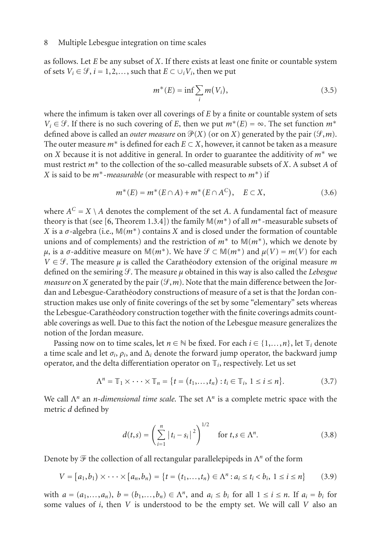as follows. Let *E* be any subset of *X*. If there exists at least one finite or countable system of sets  $V_i \in \mathcal{G}, i = 1, 2, \ldots$ , such that  $E \subset \cup_i V_i$ , then we put

$$
m^*(E) = \inf \sum_i m(V_i), \tag{3.5}
$$

where the infimum is taken over all coverings of *E* by a finite or countable system of sets  $V_i \in \mathcal{G}$ . If there is no such covering of *E*, then we put  $m^*(E) = \infty$ . The set function  $m^*$ defined above is called an *outer measure* on  $\mathcal{P}(X)$  (or on *X*) generated by the pair ( $\mathcal{P}, m$ ). The outer measure  $m^*$  is defined for each  $E \subset X$ , however, it cannot be taken as a measure on *X* because it is not additive in general. In order to guarantee the additivity of *m*<sup>∗</sup> we must restrict *m*<sup>∗</sup> to the collection of the so-called measurable subsets of *X*. A subset *A* of *X* is said to be *m*∗-*measurable* (or measurable with respect to *m*∗) if

$$
m^*(E) = m^*(E \cap A) + m^*(E \cap A^C), \quad E \subset X,
$$
\n(3.6)

where  $A^C = X \setminus A$  denotes the complement of the set A. A fundamental fact of measure theory is that (see [\[6,](#page-11-6) Theorem 1.3.4]) the family M(*m*∗) of all *m*∗-measurable subsets of *X* is a  $\sigma$ -algebra (i.e.,  $\mathbb{M}(m^*)$  contains *X* and is closed under the formation of countable unions and of complements) and the restriction of  $m^*$  to  $M(m^*)$ , which we denote by *μ*, is a σ-additive measure on  $\mathbb{M}(m^*)$ . We have  $\mathcal{G} \subset \mathbb{M}(m^*)$  and  $\mu(V) = m(V)$  for each  $V \in \mathcal{G}$ . The measure  $\mu$  is called the Carathéodory extension of the original measure m defined on the semiring  $\mathcal{F}$ . The measure  $\mu$  obtained in this way is also called the *Lebesgue measure* on *X* generated by the pair ( $\mathcal{F}, m$ ). Note that the main difference between the Jordan and Lebesgue-Carathéodory constructions of measure of a set is that the Jordan construction makes use only of finite coverings of the set by some "elementary" sets whereas the Lebesgue-Carathéodory construction together with the finite coverings admits countable coverings as well. Due to this fact the notion of the Lebesgue measure generalizes the notion of the Jordan measure.

Passing now on to time scales, let  $n \in \mathbb{N}$  be fixed. For each  $i \in \{1, ..., n\}$ , let  $\mathbb{T}_i$  denote a time scale and let  $\sigma_i$ ,  $\rho_i$ , and  $\Delta_i$  denote the forward jump operator, the backward jump operator, and the delta differentiation operator on  $\mathbb{T}_i$ , respectively. Let us set

$$
\Lambda^{n} = \mathbb{T}_{1} \times \cdots \times \mathbb{T}_{n} = \{ t = (t_{1}, \ldots, t_{n}) : t_{i} \in \mathbb{T}_{i}, 1 \leq i \leq n \}.
$$
 (3.7)

We call Λ*<sup>n</sup>* an *n*-*dimensional time scale*. The set Λ*<sup>n</sup>* is a complete metric space with the metric *d* defined by

<span id="page-7-0"></span>
$$
d(t,s) = \left(\sum_{i=1}^{n} |t_i - s_i|^2\right)^{1/2} \quad \text{for } t, s \in \Lambda^n. \tag{3.8}
$$

Denote by  $\mathcal F$  the collection of all rectangular parallelepipeds in  $\Lambda^n$  of the form

$$
V = [a_1, b_1) \times \cdots \times [a_n, b_n] = \{t = (t_1, \dots, t_n) \in \Lambda^n : a_i \le t_i < b_i, \ 1 \le i \le n\} \tag{3.9}
$$

with  $a = (a_1, \ldots, a_n)$ ,  $b = (b_1, \ldots, b_n) \in \Lambda^n$ , and  $a_i \leq b_i$  for all  $1 \leq i \leq n$ . If  $a_i = b_i$  for some values of *i*, then *V* is understood to be the empty set. We will call *V* also an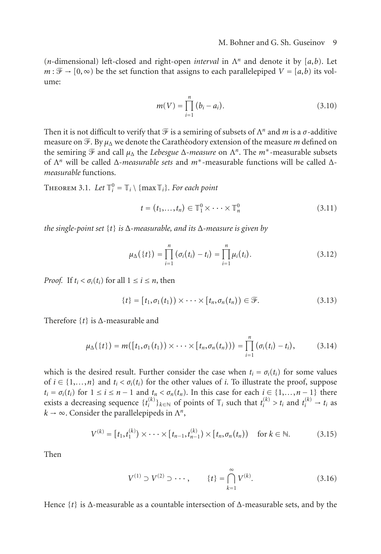(*n*-dimensional) left-closed and right-open *interval* in Λ*<sup>n</sup>* and denote it by [*a*,*b*). Let  $m : \mathcal{F} \to [0, \infty)$  be the set function that assigns to each parallelepiped  $V = [a, b)$  its volume:

$$
m(V) = \prod_{i=1}^{n} (b_i - a_i).
$$
 (3.10)

Then it is not difficult to verify that  $\mathcal F$  is a semiring of subsets of  $\Lambda^n$  and  $m$  is a  $\sigma$ -additive measure on  $\mathcal{F}$ . By  $\mu_{\Delta}$  we denote the Carathéodory extension of the measure *m* defined on the semiring  $\mathcal F$  and call  $\mu_{\Delta}$  the *Lebesgue*  $\Delta$ -measure on  $\Lambda^n$ . The  $m^*$ -measurable subsets of Λ*<sup>n</sup>* will be called Δ-*measurable sets* and *m*∗-measurable functions will be called Δ*measurable* functions.

THEOREM 3.1. Let  $\mathbb{T}_i^0 = \mathbb{T}_i \setminus \{\max \mathbb{T}_i\}$ *. For each point* 

<span id="page-8-0"></span>
$$
t = (t_1, \ldots, t_n) \in \mathbb{T}_1^0 \times \cdots \times \mathbb{T}_n^0
$$
 (3.11)

*the single-point set* {*t*} *is* <sup>Δ</sup>*-measurable, and its* <sup>Δ</sup>*-measure is given by*

$$
\mu_{\Delta}(\{t\}) = \prod_{i=1}^{n} (\sigma_i(t_i) - t_i) = \prod_{i=1}^{n} \mu_i(t_i).
$$
\n(3.12)

*Proof.* If  $t_i < \sigma_i(t_i)$  for all  $1 \le i \le n$ , then

$$
\{t\} = [t_1, \sigma_1(t_1)) \times \cdots \times [t_n, \sigma_n(t_n)) \in \mathcal{F}.
$$
 (3.13)

Therefore {*t*} is <sup>Δ</sup>-measurable and

$$
\mu_{\Delta}(\{t\}) = m([t_1, \sigma_1(t_1)) \times \cdots \times [t_n, \sigma_n(t_n))) = \prod_{i=1}^n (\sigma_i(t_i) - t_i), \qquad (3.14)
$$

which is the desired result. Further consider the case when  $t_i = \sigma_i(t_i)$  for some values of  $i \in \{1, ..., n\}$  and  $t_i < \sigma_i(t_i)$  for the other values of *i*. To illustrate the proof, suppose  $t_i = \sigma_i(t_i)$  for  $1 \le i \le n-1$  and  $t_n < \sigma_n(t_n)$ . In this case for each  $i \in \{1, ..., n-1\}$  there exists a decreasing sequence  $\{t_i^{(k)}\}_{k \in \mathbb{N}}$  of points of  $\mathbb{T}_i$  such that  $t_i^{(k)} > t_i$  and  $t_i^{(k)} \to t_i$  as  $k \to \infty$ . Consider the parallelepipeds in  $\Lambda^n$ ,

$$
V^{(k)} = [t_1, t_1^{(k)}) \times \cdots \times [t_{n-1}, t_{n-1}^{(k)}) \times [t_n, \sigma_n(t_n)) \quad \text{for } k \in \mathbb{N}.
$$
 (3.15)

Then

$$
V^{(1)} \supset V^{(2)} \supset \cdots, \qquad \{t\} = \bigcap_{k=1}^{\infty} V^{(k)}.
$$
 (3.16)

Hence {*t*} is <sup>Δ</sup>-measurable as a countable intersection of <sup>Δ</sup>-measurable sets, and by the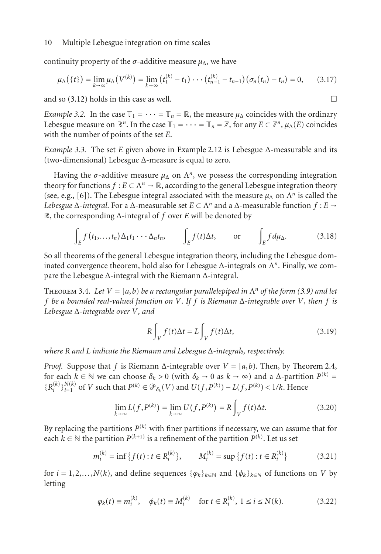continuity property of the  $\sigma$ -additive measure  $\mu_{\Lambda}$ , we have

$$
\mu_{\Delta}(\{t\}) = \lim_{k \to \infty} \mu_{\Delta}(V^{(k)}) = \lim_{k \to \infty} (t_1^{(k)} - t_1) \cdots (t_{n-1}^{(k)} - t_{n-1}) (\sigma_n(t_n) - t_n) = 0, \quad (3.17)
$$

and so  $(3.12)$  holds in this case as well.

*Example 3.2.* In the case  $\mathbb{T}_1 = \cdots = \mathbb{T}_n = \mathbb{R}$ , the measure  $\mu_\Delta$  coincides with the ordinary Lebesgue measure on  $\mathbb{R}^n$ . In the case  $\mathbb{T}_1 = \cdots = \mathbb{T}_n = \mathbb{Z}$ , for any  $E \subset \mathbb{Z}^n$ ,  $\mu_{\Delta}(E)$  coincides with the number of points of the set *E*.

*Example 3.3.* The set *E* given above in [Example 2.12](#page-5-1) is Lebesgue Δ-measurable and its (two-dimensional) Lebesgue Δ-measure is equal to zero.

Having the  $\sigma$ -additive measure  $\mu_{\Delta}$  on  $\Lambda^n$ , we possess the corresponding integration theory for functions  $f : E \subset \Lambda^n \to \mathbb{R}$ , according to the general Lebesgue integration theory (see, e.g., [\[6\]](#page-11-6)). The Lebesgue integral associated with the measure  $\mu_{\Lambda}$  on  $\Lambda^n$  is called the *Lebesgue* Δ-*integral*. For a Δ-measurable set  $E \subset \Lambda^n$  and a Δ-measurable function  $f : E →$ R, the corresponding Δ-integral of *f* over *E* will be denoted by

$$
\int_{E} f(t_1,\ldots,t_n) \Delta_1 t_1 \cdots \Delta_n t_n, \qquad \int_{E} f(t) \Delta t, \qquad \text{or} \qquad \int_{E} f d\mu_{\Delta}. \tag{3.18}
$$

So all theorems of the general Lebesgue integration theory, including the Lebesgue dominated convergence theorem, hold also for Lebesgue  $\Delta$ -integrals on  $\Lambda^n$ . Finally, we compare the Lebesgue Δ-integral with the Riemann Δ-integral.

<span id="page-9-3"></span>THEOREM 3.4. Let  $V = [a, b]$  be a rectangular parallelepiped in  $\Lambda^n$  of the form [\(3.9\)](#page-7-0) and let *f be a bounded real-valued function on V. If f is Riemann* Δ*-integrable over V, then f is Lebesgue* Δ*-integrable over V, and*

<span id="page-9-2"></span>
$$
R\int_{V} f(t)\Delta t = L\int_{V} f(t)\Delta t, \qquad (3.19)
$$

*where R and L indicate the Riemann and Lebesgue* Δ*-integrals, respectively.*

*Proof.* Suppose that *f* is Riemann  $\Delta$ -integrable over  $V = [a, b)$ . Then, by [Theorem 2.4,](#page-3-0) for each  $k \in \mathbb{N}$  we can choose  $\delta_k > 0$  (with  $\delta_k \to 0$  as  $k \to \infty$ ) and a  $\Delta$ -partition  $P^{(k)} =$  ${R_i^{(k)}\}_{i=1}^{N(k)}$  of V such that  $P^{(k)} \in \mathcal{P}_{\delta_k}(V)$  and  $U(f, P^{(k)}) - L(f, P^{(k)}) < 1/k$ . Hence

<span id="page-9-0"></span>
$$
\lim_{k \to \infty} L(f, P^{(k)}) = \lim_{k \to \infty} U(f, P^{(k)}) = R \int_{V} f(t) \Delta t.
$$
 (3.20)

By replacing the partitions  $P^{(k)}$  with finer partitions if necessary, we can assume that for each  $k \in \mathbb{N}$  the partition  $P^{(k+1)}$  is a refinement of the partition  $P^{(k)}$ . Let us set

$$
m_i^{(k)} = \inf \{ f(t) : t \in R_i^{(k)} \}, \qquad M_i^{(k)} = \sup \{ f(t) : t \in R_i^{(k)} \}
$$
(3.21)

for  $i = 1, 2, \ldots, N(k)$ , and define sequences  $\{\varphi_k\}_{k \in \mathbb{N}}$  and  $\{\varphi_k\}_{k \in \mathbb{N}}$  of functions on *V* by letting

<span id="page-9-1"></span>
$$
\varphi_k(t) \equiv m_i^{(k)}, \quad \phi_k(t) \equiv M_i^{(k)} \quad \text{for } t \in R_i^{(k)}, \ 1 \le i \le N(k).
$$
\n(3.22)

$$
\Box
$$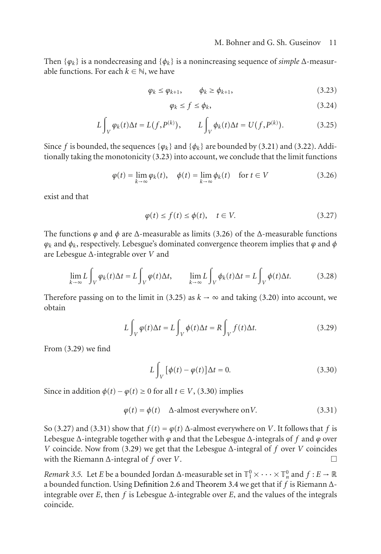Then  $\{\varphi_k\}$  is a nondecreasing and  $\{\varphi_k\}$  is a nonincreasing sequence of *simple*  $\Delta$ -measurable functions. For each  $k \in \mathbb{N}$ , we have

$$
\varphi_k \le \varphi_{k+1}, \qquad \phi_k \ge \varphi_{k+1}, \tag{3.23}
$$

<span id="page-10-2"></span><span id="page-10-1"></span><span id="page-10-0"></span>
$$
\varphi_k \le f \le \phi_k,\tag{3.24}
$$

$$
L\int_{V} \varphi_k(t)\Delta t = L(f, P^{(k)}), \qquad L\int_{V} \phi_k(t)\Delta t = U(f, P^{(k)}).
$$
 (3.25)

Since *f* is bounded, the sequences  $\{\varphi_k\}$  and  $\{\varphi_k\}$  are bounded by [\(3.21\)](#page-9-0) and [\(3.22\)](#page-9-1). Additionally taking the monotonicity [\(3.23\)](#page-10-0) into account, we conclude that the limit functions

$$
\varphi(t) = \lim_{k \to \infty} \varphi_k(t), \quad \phi(t) = \lim_{k \to \infty} \phi_k(t) \quad \text{for } t \in V
$$
\n(3.26)

exist and that

<span id="page-10-5"></span>
$$
\varphi(t) \le f(t) \le \phi(t), \quad t \in V. \tag{3.27}
$$

The functions  $\varphi$  and  $\varphi$  are  $\Delta$ -measurable as limits [\(3.26\)](#page-10-1) of the  $\Delta$ -measurable functions *ϕk* and *φk*, respectively. Lebesgue's dominated convergence theorem implies that *ϕ* and *φ* are Lebesgue Δ-integrable over *V* and

$$
\lim_{k \to \infty} L \int_{V} \varphi_{k}(t) \Delta t = L \int_{V} \varphi(t) \Delta t, \qquad \lim_{k \to \infty} L \int_{V} \varphi_{k}(t) \Delta t = L \int_{V} \varphi(t) \Delta t. \tag{3.28}
$$

Therefore passing on to the limit in [\(3.25\)](#page-10-2) as  $k \to \infty$  and taking [\(3.20\)](#page-9-2) into account, we obtain

$$
L\int_{V} \varphi(t)\Delta t = L\int_{V} \varphi(t)\Delta t = R\int_{V} f(t)\Delta t.
$$
 (3.29)

From [\(3.29\)](#page-10-3) we find

<span id="page-10-6"></span><span id="page-10-4"></span><span id="page-10-3"></span>
$$
L\int_{V} [\phi(t) - \phi(t)] \Delta t = 0.
$$
 (3.30)

Since in addition  $\phi(t) - \phi(t) \ge 0$  for all  $t \in V$ , [\(3.30\)](#page-10-4) implies

$$
\varphi(t) = \phi(t) \quad \Delta\text{-almost everywhere on } V. \tag{3.31}
$$

So [\(3.27\)](#page-10-5) and [\(3.31\)](#page-10-6) show that  $f(t) = \varphi(t)$   $\Delta$ -almost everywhere on *V*. It follows that *f* is Lebesgue  $\Delta$ -integrable together with  $\varphi$  and that the Lebesgue  $\Delta$ -integrals of f and  $\varphi$  over *V* coincide. Now from [\(3.29\)](#page-10-3) we get that the Lebesgue  $\Delta$ -integral of *f* over *V* coincides with the Riemann  $\Delta$ -integral of *f* over *V*.

*Remark 3.5.* Let *E* be a bounded Jordan  $\Delta$ -measurable set in  $\mathbb{T}_1^0 \times \cdots \times \mathbb{T}_n^0$  and  $f : E \to \mathbb{R}$ a bounded function. Using [Definition 2.6](#page-3-1) and [Theorem 3.4](#page-9-3) we get that if *f* is Riemann Δintegrable over  $E$ , then  $f$  is Lebesgue  $\Delta$ -integrable over  $E$ , and the values of the integrals coincide.